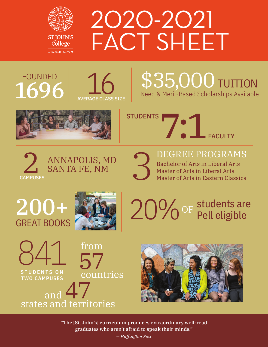

# 2020-2021 FACT SHEET

## FOUNDED  $1696$   $\bigcup_{\text{AVERAGE CLASS SIZE}}$



### \$35,000 TUITION Need & Merit-Based Scholarships Available









Bachelor of Arts in Liberal Arts Master of Arts in Liberal Arts Master of Arts in Eastern Classics

# 200+ GREAT BOOKS









"The [St. John's] curriculum produces extraordinary well-read graduates who aren't afraid to speak their minds."

*— Huffington Post*